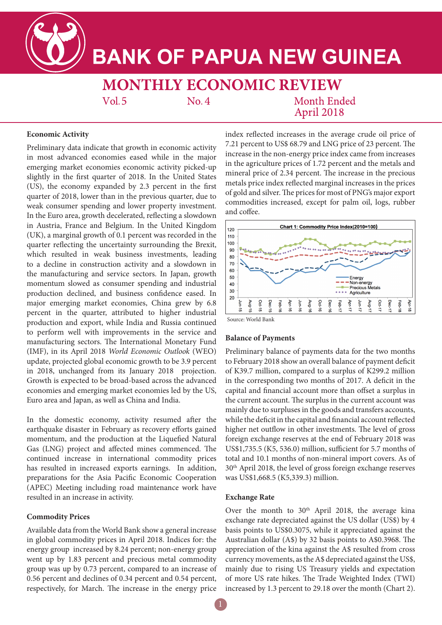# **BANK OF PAPUA NEW GUINEA**

**MONTHLY ECONOMIC REVIEW**  $No. 4$ 

 $Vol.5$ 

**Month Ended** April 2018

# **Economic Activity**

Preliminary data indicate that growth in economic activity in most advanced economies eased while in the major emerging market economies economic activity picked-up slightly in the first quarter of 2018. In the United States (US), the economy expanded by 2.3 percent in the first quarter of 2018, lower than in the previous quarter, due to weak consumer spending and lower property investment. In the Euro area, growth decelerated, reflecting a slowdown in Austria, France and Belgium. In the United Kingdom (UK), a marginal growth of 0.1 percent was recorded in the quarter reflecting the uncertainty surrounding the Brexit, which resulted in weak business investments, leading to a decline in construction activity and a slowdown in the manufacturing and service sectors. In Japan, growth momentum slowed as consumer spending and industrial production declined, and business confidence eased. In major emerging market economies, China grew by 6.8 percent in the quarter, attributed to higher industrial production and export, while India and Russia continued to perform well with improvements in the service and manufacturing sectors. The International Monetary Fund (IMF), in its April 2018 *World Economic Outlook* (WEO) update, projected global economic growth to be 3.9 percent in 2018, unchanged from its January 2018 projection. Growth is expected to be broad-based across the advanced economies and emerging market economies led by the US, Euro area and Japan, as well as China and India.

In the domestic economy, activity resumed after the earthquake disaster in February as recovery efforts gained momentum, and the production at the Liquefied Natural Gas (LNG) project and affected mines commenced. The continued increase in international commodity prices has resulted in increased exports earnings. In addition, preparations for the Asia Pacific Economic Cooperation (APEC) Meeting including road maintenance work have resulted in an increase in activity.

# **Commodity Prices**

Available data from the World Bank show a general increase in global commodity prices in April 2018. Indices for: the energy group increased by 8.24 percent; non-energy group went up by 1.83 percent and precious metal commodity group was up by 0.73 percent, compared to an increase of 0.56 percent and declines of 0.34 percent and 0.54 percent, respectively, for March. The increase in the energy price

index reflected increases in the average crude oil price of 7.21 percent to US\$ 68.79 and LNG price of 23 percent. The increase in the non-energy price index came from increases in the agriculture prices of 1.72 percent and the metals and mineral price of 2.34 percent. The increase in the precious metals price index reflected marginal increases in the prices of gold and silver. The prices for most of PNG's major export commodities increased, except for palm oil, logs, rubber and coffee.



# Source: World Bank

# **Balance of Payments**

Preliminary balance of payments data for the two months to February 2018 show an overall balance of payment deficit of K39.7 million, compared to a surplus of K299.2 million in the corresponding two months of 2017. A deficit in the capital and financial account more than offset a surplus in the current account. The surplus in the current account was mainly due to surpluses in the goods and transfers accounts, while the deficit in the capital and financial account reflected higher net outflow in other investments. The level of gross foreign exchange reserves at the end of February 2018 was US\$1,735.5 (K5, 536.0) million, sufficient for 5.7 months of total and 10.1 months of non-mineral import covers. As of 30th April 2018, the level of gross foreign exchange reserves was US\$1,668.5 (K5,339.3) million.

### **Exchange Rate**

Over the month to  $30<sup>th</sup>$  April 2018, the average kina exchange rate depreciated against the US dollar (US\$) by 4 basis points to US\$0.3075, while it appreciated against the Australian dollar (A\$) by 32 basis points to A\$0.3968. The appreciation of the kina against the A\$ resulted from cross currency movements, as the A\$ depreciated against the US\$, mainly due to rising US Treasury yields and expectation of more US rate hikes. The Trade Weighted Index (TWI) increased by 1.3 percent to 29.18 over the month (Chart 2).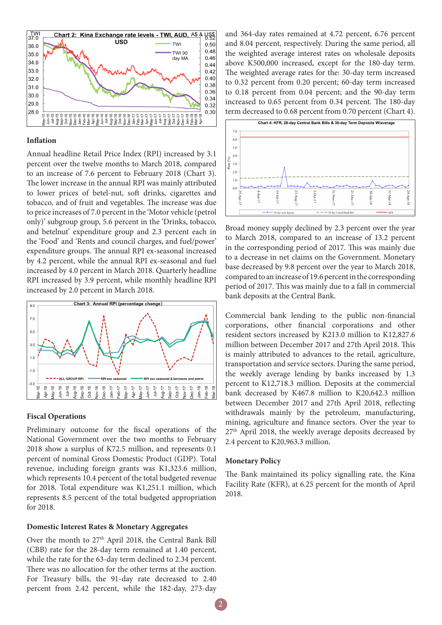

#### **Inflation**

Annual headline Retail Price Index (RPI) increased by 3.1 percent over the twelve months to March 2018, compared to an increase of 7.6 percent to February 2018 (Chart 3). The lower increase in the annual RPI was mainly attributed to lower prices of betel-nut, soft drinks, cigarettes and tobacco, and of fruit and vegetables. The increase was due to price increases of 7.0 percent in the 'Motor vehicle (petrol only)' subgroup group, 5.6 percent in the 'Drinks, tobacco, and betelnut' expenditure group and 2.3 percent each in the 'Food' and 'Rents and council charges, and fuel/power' expenditure groups. The annual RPI ex-seasonal increased by 4.2 percent, while the annual RPI ex-seasonal and fuel increased by 4.0 percent in March 2018. Quarterly headline RPI increased by 3.9 percent, while monthly headline RPI increased by 2.0 percent in March 2018.



#### **Fiscal Operations**

Preliminary outcome for the fiscal operations of the National Government over the two months to February 2018 show a surplus of K72.5 million, and represents 0.1 percent of nominal Gross Domestic Product (GDP). Total revenue, including foreign grants was K1,323.6 million, which represents 10.4 percent of the total budgeted revenue for 2018. Total expenditure was K1,251.1 million, which represents 8.5 percent of the total budgeted appropriation for 2018.

# **Domestic Interest Rates & Monetary Aggregates**

Over the month to 27<sup>th</sup> April 2018, the Central Bank Bill (CBB) rate for the 28-day term remained at 1.40 percent, while the rate for the 63-day term declined to 2.34 percent. There was no allocation for the other terms at the auction. For Treasury bills, the 91-day rate decreased to 2.40 percent from 2.42 percent, while the 182-day, 273-day

and 364-day rates remained at 4.72 percent, 6.76 percent and 8.04 percent, respectively. During the same period, all the weighted average interest rates on wholesale deposits above K500,000 increased, except for the 180-day term. The weighted average rates for the: 30-day term increased to 0.32 percent from 0.20 percent; 60-day term increased to 0.18 percent from 0.04 percent; and the 90-day term increased to 0.65 percent from 0.34 percent. The 180-day term decreased to 0.68 percent from 0.70 percent (Chart 4).



Broad money supply declined by 2.3 percent over the year to March 2018, compared to an increase of 13.2 percent in the corresponding period of 2017. This was mainly due to a decrease in net claims on the Government. Monetary base decreased by 9.8 percent over the year to March 2018, compared to an increase of 19.6 percent in the corresponding period of 2017. This was mainly due to a fall in commercial bank deposits at the Central Bank.

Commercial bank lending to the public non-financial corporations, other financial corporations and other resident sectors increased by K213.0 million to K12,827.6 million between December 2017 and 27th April 2018. This is mainly attributed to advances to the retail, agriculture, transportation and service sectors. During the same period, the weekly average lending by banks increased by 1.3 percent to K12,718.3 million. Deposits at the commercial bank decreased by K467.8 million to K20,642.3 million between December 2017 and 27th April 2018, reflecting withdrawals mainly by the petroleum, manufacturing, mining, agriculture and finance sectors. Over the year to 27<sup>th</sup> April 2018, the weekly average deposits decreased by 2.4 percent to K20,963.3 million.

#### **Monetary Policy**

The Bank maintained its policy signalling rate, the Kina Facility Rate (KFR), at 6.25 percent for the month of April 2018.